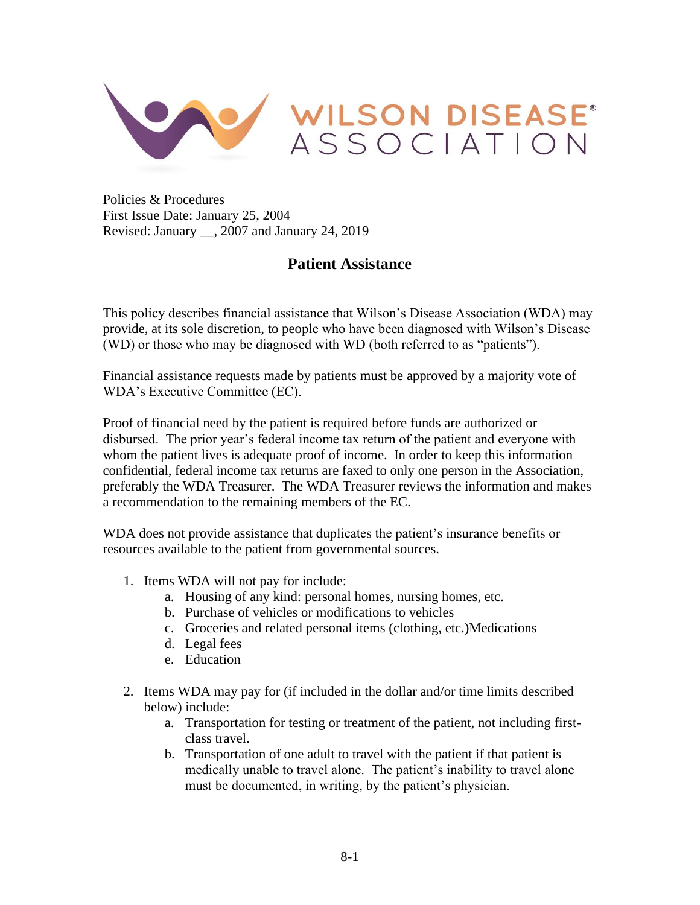

Policies & Procedures First Issue Date: January 25, 2004 Revised: January \_\_, 2007 and January 24, 2019

## **Patient Assistance**

This policy describes financial assistance that Wilson's Disease Association (WDA) may provide, at its sole discretion, to people who have been diagnosed with Wilson's Disease (WD) or those who may be diagnosed with WD (both referred to as "patients").

Financial assistance requests made by patients must be approved by a majority vote of WDA's Executive Committee (EC).

Proof of financial need by the patient is required before funds are authorized or disbursed. The prior year's federal income tax return of the patient and everyone with whom the patient lives is adequate proof of income. In order to keep this information confidential, federal income tax returns are faxed to only one person in the Association, preferably the WDA Treasurer. The WDA Treasurer reviews the information and makes a recommendation to the remaining members of the EC.

WDA does not provide assistance that duplicates the patient's insurance benefits or resources available to the patient from governmental sources.

- 1. Items WDA will not pay for include:
	- a. Housing of any kind: personal homes, nursing homes, etc.
	- b. Purchase of vehicles or modifications to vehicles
	- c. Groceries and related personal items (clothing, etc.)Medications
	- d. Legal fees
	- e. Education
- 2. Items WDA may pay for (if included in the dollar and/or time limits described below) include:
	- a. Transportation for testing or treatment of the patient, not including firstclass travel.
	- b. Transportation of one adult to travel with the patient if that patient is medically unable to travel alone. The patient's inability to travel alone must be documented, in writing, by the patient's physician.